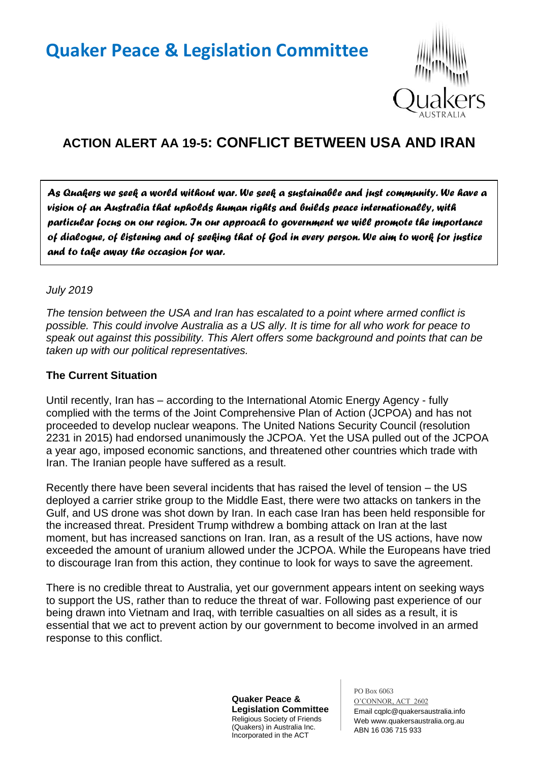# **Quaker Peace & Legislation Committee**



## **ACTION ALERT AA 19-5: CONFLICT BETWEEN USA AND IRAN**

*As Quakers we seek a world without war. We seek a sustainable and just community. We have a vision of an Australia that upholds human rights and builds peace internationally, with particular focus on our region. In our approach to government we will promote the importance of dialogue, of listening and of seeking that of God in every person. We aim to work for justice and to take away the occasion for war.* 

#### *July 2019*

*The tension between the USA and Iran has escalated to a point where armed conflict is possible. This could involve Australia as a US ally. It is time for all who work for peace to speak out against this possibility. This Alert offers some background and points that can be taken up with our political representatives.*

#### **The Current Situation**

Until recently, Iran has – according to the International Atomic Energy Agency - fully complied with the terms of the Joint Comprehensive Plan of Action (JCPOA) and has not proceeded to develop nuclear weapons. The United Nations Security Council (resolution 2231 in 2015) had endorsed unanimously the JCPOA. Yet the USA pulled out of the JCPOA a year ago, imposed economic sanctions, and threatened other countries which trade with Iran. The Iranian people have suffered as a result.

Recently there have been several incidents that has raised the level of tension – the US deployed a carrier strike group to the Middle East, there were two attacks on tankers in the Gulf, and US drone was shot down by Iran. In each case Iran has been held responsible for the increased threat. President Trump withdrew a bombing attack on Iran at the last moment, but has increased sanctions on Iran. Iran, as a result of the US actions, have now exceeded the amount of uranium allowed under the JCPOA. While the Europeans have tried to discourage Iran from this action, they continue to look for ways to save the agreement.

There is no credible threat to Australia, yet our government appears intent on seeking ways to support the US, rather than to reduce the threat of war. Following past experience of our being drawn into Vietnam and Iraq, with terrible casualties on all sides as a result, it is essential that we act to prevent action by our government to become involved in an armed response to this conflict.

> **Quaker Peace & Legislation Committee** Religious Society of Friends (Quakers) in Australia Inc. Incorporated in the ACT

PO Box 6063 O'CONNOR, ACT 2602 Email cqplc@quakersaustralia.info Web www.quakersaustralia.org.au ABN 16 036 715 933